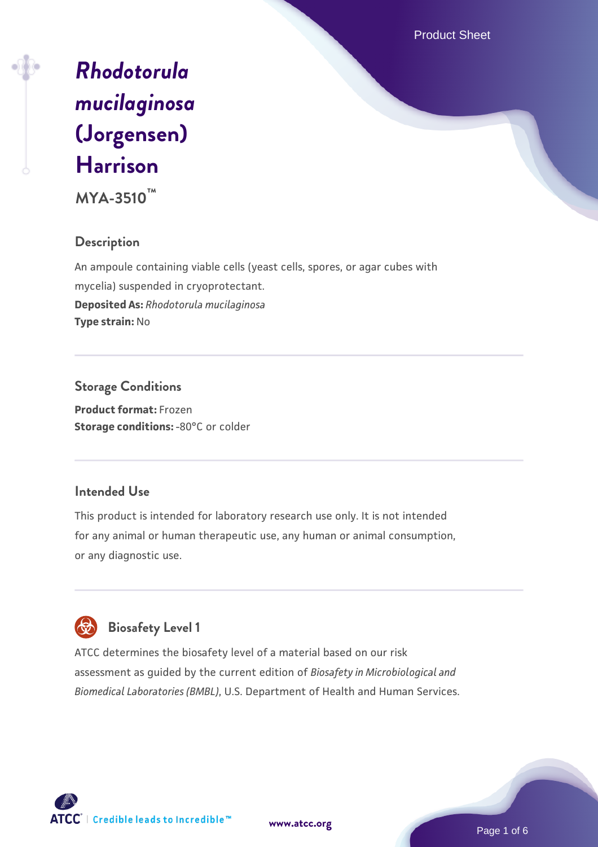Product Sheet

# *[Rhodotorula](https://www.atcc.org/products/mya-3510) [mucilaginosa](https://www.atcc.org/products/mya-3510)* **[\(Jorgensen\)](https://www.atcc.org/products/mya-3510) [Harrison](https://www.atcc.org/products/mya-3510)**

**MYA-3510™**

# **Description**

An ampoule containing viable cells (yeast cells, spores, or agar cubes with mycelia) suspended in cryoprotectant. **Deposited As:** *Rhodotorula mucilaginosa* **Type strain:** No

**Storage Conditions Product format:** Frozen **Storage conditions: -80°C or colder** 

# **Intended Use**

This product is intended for laboratory research use only. It is not intended for any animal or human therapeutic use, any human or animal consumption, or any diagnostic use.



 **Biosafety Level 1**

ATCC determines the biosafety level of a material based on our risk assessment as guided by the current edition of *Biosafety in Microbiological and Biomedical Laboratories (BMBL)*, U.S. Department of Health and Human Services.



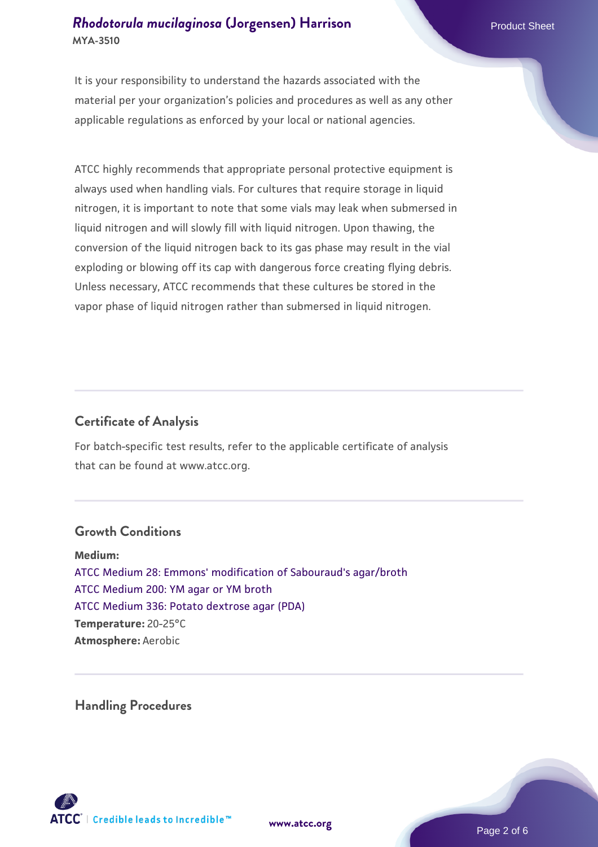It is your responsibility to understand the hazards associated with the material per your organization's policies and procedures as well as any other applicable regulations as enforced by your local or national agencies.

ATCC highly recommends that appropriate personal protective equipment is always used when handling vials. For cultures that require storage in liquid nitrogen, it is important to note that some vials may leak when submersed in liquid nitrogen and will slowly fill with liquid nitrogen. Upon thawing, the conversion of the liquid nitrogen back to its gas phase may result in the vial exploding or blowing off its cap with dangerous force creating flying debris. Unless necessary, ATCC recommends that these cultures be stored in the vapor phase of liquid nitrogen rather than submersed in liquid nitrogen.

# **Certificate of Analysis**

For batch-specific test results, refer to the applicable certificate of analysis that can be found at www.atcc.org.

## **Growth Conditions**

**Medium:**  [ATCC Medium 28: Emmons' modification of Sabouraud's agar/broth](https://www.atcc.org/-/media/product-assets/documents/microbial-media-formulations/2/8/atcc-medium-28.pdf?rev=0da0c58cc2a343eeae735016b70809bb) [ATCC Medium 200: YM agar or YM broth](https://www.atcc.org/-/media/product-assets/documents/microbial-media-formulations/2/0/0/atcc-medium-200.pdf?rev=ac40fd74dc13433a809367b0b9da30fc) [ATCC Medium 336: Potato dextrose agar \(PDA\)](https://www.atcc.org/-/media/product-assets/documents/microbial-media-formulations/3/3/6/atcc-medium-336.pdf?rev=d9160ad44d934cd8b65175461abbf3b9) **Temperature:** 20-25°C **Atmosphere:** Aerobic

**Handling Procedures**



**[www.atcc.org](http://www.atcc.org)**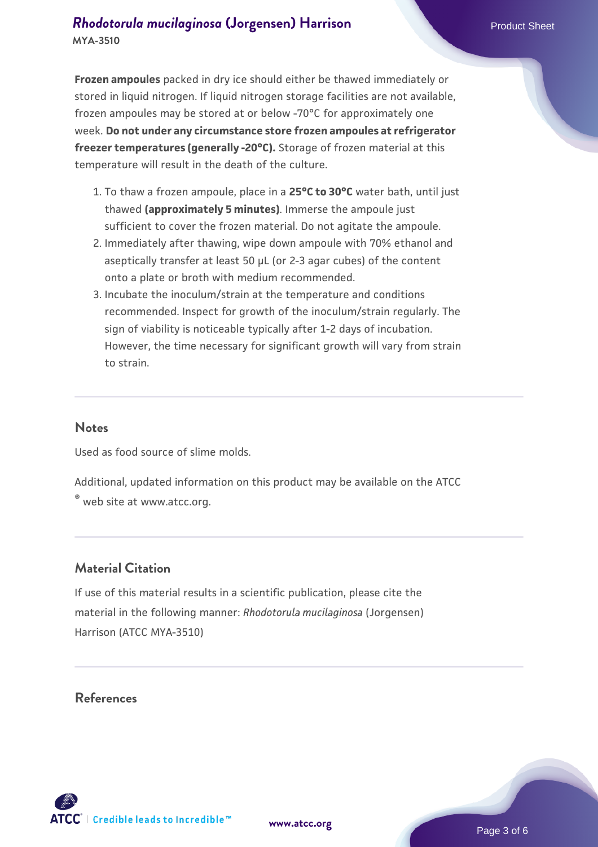**Frozen ampoules** packed in dry ice should either be thawed immediately or stored in liquid nitrogen. If liquid nitrogen storage facilities are not available, frozen ampoules may be stored at or below -70°C for approximately one week. **Do not under any circumstance store frozen ampoules at refrigerator freezer temperatures (generally -20°C).** Storage of frozen material at this temperature will result in the death of the culture.

- 1. To thaw a frozen ampoule, place in a **25°C to 30°C** water bath, until just thawed **(approximately 5 minutes)**. Immerse the ampoule just sufficient to cover the frozen material. Do not agitate the ampoule.
- 2. Immediately after thawing, wipe down ampoule with 70% ethanol and aseptically transfer at least 50 µL (or 2-3 agar cubes) of the content onto a plate or broth with medium recommended.
- Incubate the inoculum/strain at the temperature and conditions 3. recommended. Inspect for growth of the inoculum/strain regularly. The sign of viability is noticeable typically after 1-2 days of incubation. However, the time necessary for significant growth will vary from strain to strain.

#### **Notes**

Used as food source of slime molds.

Additional, updated information on this product may be available on the ATCC

® web site at www.atcc.org.

## **Material Citation**

If use of this material results in a scientific publication, please cite the material in the following manner: *Rhodotorula mucilaginosa* (Jorgensen) Harrison (ATCC MYA-3510)

#### **References**

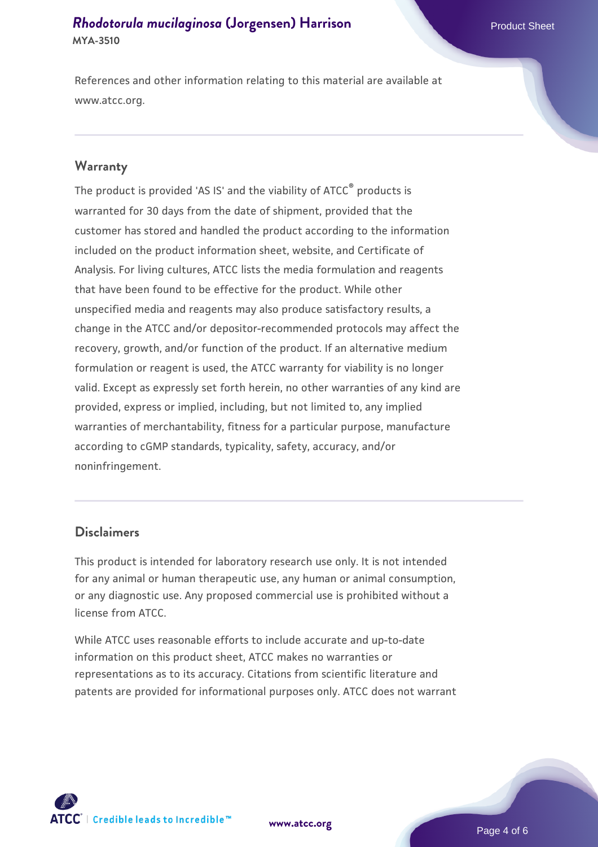References and other information relating to this material are available at www.atcc.org.

### **Warranty**

The product is provided 'AS IS' and the viability of ATCC® products is warranted for 30 days from the date of shipment, provided that the customer has stored and handled the product according to the information included on the product information sheet, website, and Certificate of Analysis. For living cultures, ATCC lists the media formulation and reagents that have been found to be effective for the product. While other unspecified media and reagents may also produce satisfactory results, a change in the ATCC and/or depositor-recommended protocols may affect the recovery, growth, and/or function of the product. If an alternative medium formulation or reagent is used, the ATCC warranty for viability is no longer valid. Except as expressly set forth herein, no other warranties of any kind are provided, express or implied, including, but not limited to, any implied warranties of merchantability, fitness for a particular purpose, manufacture according to cGMP standards, typicality, safety, accuracy, and/or noninfringement.

### **Disclaimers**

This product is intended for laboratory research use only. It is not intended for any animal or human therapeutic use, any human or animal consumption, or any diagnostic use. Any proposed commercial use is prohibited without a license from ATCC.

While ATCC uses reasonable efforts to include accurate and up-to-date information on this product sheet, ATCC makes no warranties or representations as to its accuracy. Citations from scientific literature and patents are provided for informational purposes only. ATCC does not warrant



**[www.atcc.org](http://www.atcc.org)**

Page 4 of 6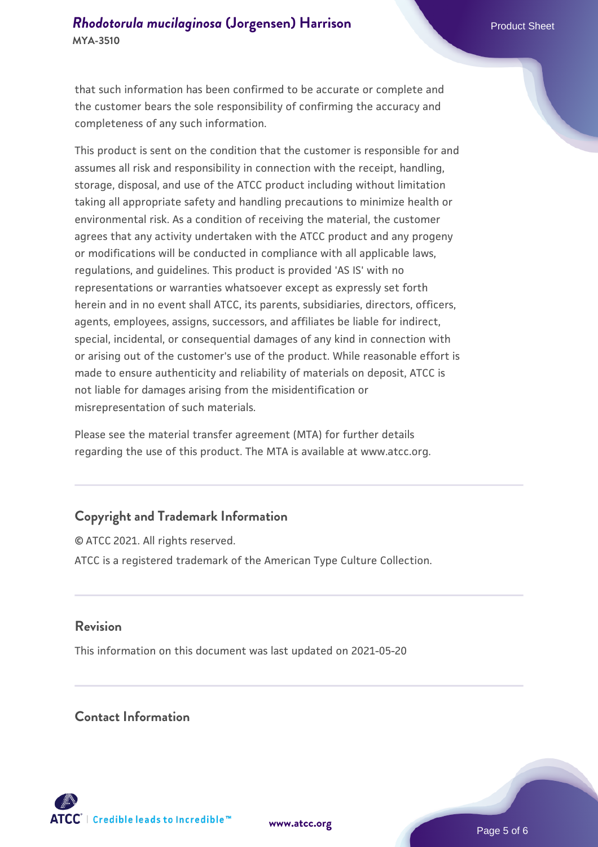that such information has been confirmed to be accurate or complete and the customer bears the sole responsibility of confirming the accuracy and completeness of any such information.

This product is sent on the condition that the customer is responsible for and assumes all risk and responsibility in connection with the receipt, handling, storage, disposal, and use of the ATCC product including without limitation taking all appropriate safety and handling precautions to minimize health or environmental risk. As a condition of receiving the material, the customer agrees that any activity undertaken with the ATCC product and any progeny or modifications will be conducted in compliance with all applicable laws, regulations, and guidelines. This product is provided 'AS IS' with no representations or warranties whatsoever except as expressly set forth herein and in no event shall ATCC, its parents, subsidiaries, directors, officers, agents, employees, assigns, successors, and affiliates be liable for indirect, special, incidental, or consequential damages of any kind in connection with or arising out of the customer's use of the product. While reasonable effort is made to ensure authenticity and reliability of materials on deposit, ATCC is not liable for damages arising from the misidentification or misrepresentation of such materials.

Please see the material transfer agreement (MTA) for further details regarding the use of this product. The MTA is available at www.atcc.org.

# **Copyright and Trademark Information**

© ATCC 2021. All rights reserved. ATCC is a registered trademark of the American Type Culture Collection.

## **Revision**

This information on this document was last updated on 2021-05-20

## **Contact Information**



**[www.atcc.org](http://www.atcc.org)**

Page 5 of 6